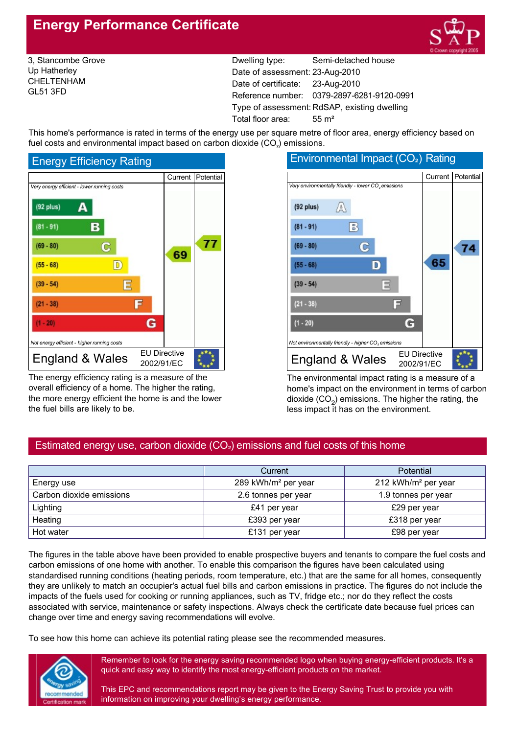# **Energy Performance Certificate**



3, Stancombe Grove Up Hatherley CHELTENHAM GL51 3FD

Dwelling type: Semi-detached house Date of assessment: 23-Aug-2010 Date of certificate: 23-Aug-2010 Reference number: 0379-2897-6281-9120-0991 Type of assessment: RdSAP, existing dwelling Total floor area: 55 m<sup>2</sup>

This home's performance is rated in terms of the energy use per square metre of floor area, energy efficiency based on fuel costs and environmental impact based on carbon dioxide  $(CO<sub>2</sub>)$  emissions.



The energy efficiency rating is a measure of the overall efficiency of a home. The higher the rating, the more energy efficient the home is and the lower the fuel bills are likely to be.



The environmental impact rating is a measure of a home's impact on the environment in terms of carbon dioxide  $(CO<sub>2</sub>)$  emissions. The higher the rating, the less impact it has on the environment.

## Estimated energy use, carbon dioxide  $(CO<sub>2</sub>)$  emissions and fuel costs of this home

|                          | Current                         | Potential                       |
|--------------------------|---------------------------------|---------------------------------|
| Energy use               | 289 kWh/m <sup>2</sup> per year | 212 kWh/m <sup>2</sup> per year |
| Carbon dioxide emissions | 2.6 tonnes per year             | 1.9 tonnes per year             |
| Lighting                 | £41 per year                    | £29 per year                    |
| Heating                  | £393 per year                   | £318 per year                   |
| Hot water                | £131 per year                   | £98 per year                    |

The figures in the table above have been provided to enable prospective buyers and tenants to compare the fuel costs and carbon emissions of one home with another. To enable this comparison the figures have been calculated using standardised running conditions (heating periods, room temperature, etc.) that are the same for all homes, consequently they are unlikely to match an occupier's actual fuel bills and carbon emissions in practice. The figures do not include the impacts of the fuels used for cooking or running appliances, such as TV, fridge etc.; nor do they reflect the costs associated with service, maintenance or safety inspections. Always check the certificate date because fuel prices can change over time and energy saving recommendations will evolve.

To see how this home can achieve its potential rating please see the recommended measures.



Remember to look for the energy saving recommended logo when buying energy-efficient products. It's a quick and easy way to identify the most energy-efficient products on the market.

This EPC and recommendations report may be given to the Energy Saving Trust to provide you with information on improving your dwelling's energy performance.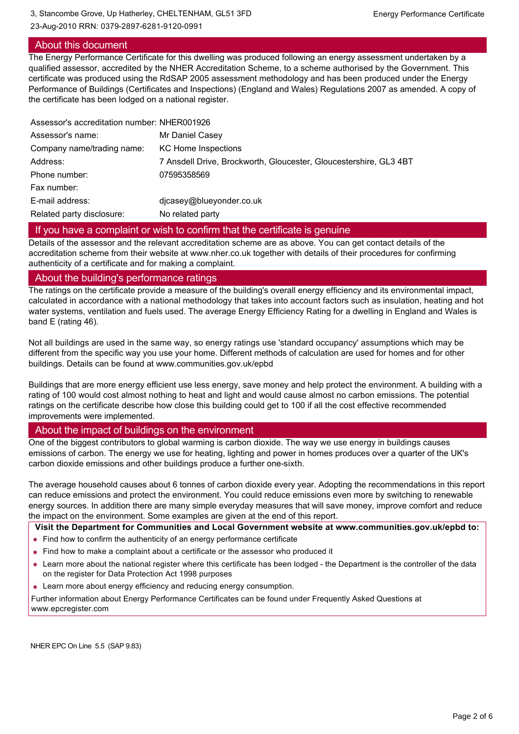23-Aug-2010 RRN: 0379-2897-6281-9120-0991

## About this document

### The Energy Performance Certificate for this dwelling was produced following an energy assessment undertaken by a qualified assessor, accredited by the NHER Accreditation Scheme, to a scheme authorised by the Government. This certificate was produced using the RdSAP 2005 assessment methodology and has been produced under the Energy Performance of Buildings (Certificates and Inspections) (England and Wales) Regulations 2007 as amended. A copy of the certificate has been lodged on a national register.

| Assessor's accreditation number: NHER001926 |                                                                   |
|---------------------------------------------|-------------------------------------------------------------------|
| Assessor's name:                            | Mr Daniel Casey                                                   |
| Company name/trading name:                  | KC Home Inspections                                               |
| Address:                                    | 7 Ansdell Drive, Brockworth, Gloucester, Gloucestershire, GL3 4BT |
| Phone number:                               | 07595358569                                                       |
| Fax number:                                 |                                                                   |
| E-mail address:                             | dicasey@blueyonder.co.uk                                          |
| Related party disclosure:                   | No related party                                                  |
|                                             |                                                                   |

#### If you have a complaint or wish to confirm that the certificate is genuine

Details of the assessor and the relevant accreditation scheme are as above. You can get contact details of the accreditation scheme from their website at www.nher.co.uk together with details of their procedures for confirming authenticity of a certificate and for making a complaint.

#### About the building's performance ratings

The ratings on the certificate provide a measure of the building's overall energy efficiency and its environmental impact, calculated in accordance with a national methodology that takes into account factors such as insulation, heating and hot water systems, ventilation and fuels used. The average Energy Efficiency Rating for a dwelling in England and Wales is band E (rating 46).

Not all buildings are used in the same way, so energy ratings use 'standard occupancy' assumptions which may be different from the specific way you use your home. Different methods of calculation are used for homes and for other buildings. Details can be found at www.communities.gov.uk/epbd

Buildings that are more energy efficient use less energy, save money and help protect the environment. A building with a rating of 100 would cost almost nothing to heat and light and would cause almost no carbon emissions. The potential ratings on the certificate describe how close this building could get to 100 if all the cost effective recommended improvements were implemented.

### About the impact of buildings on the environment

One of the biggest contributors to global warming is carbon dioxide. The way we use energy in buildings causes emissions of carbon. The energy we use for heating, lighting and power in homes produces over a quarter of the UK's carbon dioxide emissions and other buildings produce a further onesixth.

The average household causes about 6 tonnes of carbon dioxide every year. Adopting the recommendations in this report can reduce emissions and protect the environment. You could reduce emissions even more by switching to renewable energy sources. In addition there are many simple everyday measures that will save money, improve comfort and reduce the impact on the environment. Some examples are given at the end of this report.

**Visit the Department for Communities and Local Government website at www.communities.gov.uk/epbd to:**

- Find how to confirm the authenticity of an energy performance certificate
- Find how to make a complaint about a certificate or the assessor who produced it
- Learn more about the national register where this certificate has been lodged the Department is the controller of the data on the register for Data Protection Act 1998 purposes
- **Learn more about energy efficiency and reducing energy consumption.**

Further information about Energy Performance Certificates can be found under Frequently Asked Questions at www.epcregister.com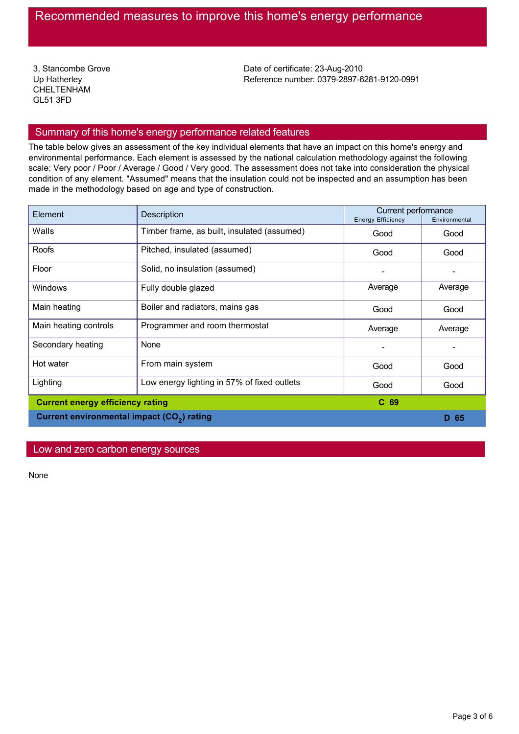3, Stancombe Grove Up Hatherley CHELTENHAM GL51 3FD

Date of certificate: 23-Aug-2010 Reference number: 0379-2897-6281-9120-0991

## Summary of this home's energy performance related features

The table below gives an assessment of the key individual elements that have an impact on this home's energy and environmental performance. Each element is assessed by the national calculation methodology against the following scale: Very poor / Poor / Average / Good / Very good. The assessment does not take into consideration the physical condition of any element. "Assumed" means that the insulation could not be inspected and an assumption has been made in the methodology based on age and type of construction.

| Element                                                | Description                                 | Current performance<br><b>Energy Efficiency</b> | Environmental |
|--------------------------------------------------------|---------------------------------------------|-------------------------------------------------|---------------|
| Walls                                                  | Timber frame, as built, insulated (assumed) | Good                                            | Good          |
| Roofs                                                  | Pitched, insulated (assumed)                | Good                                            | Good          |
| Floor                                                  | Solid, no insulation (assumed)              |                                                 |               |
| <b>Windows</b>                                         | Fully double glazed                         | Average                                         | Average       |
| Main heating                                           | Boiler and radiators, mains gas             | Good                                            | Good          |
| Main heating controls                                  | Programmer and room thermostat              | Average                                         | Average       |
| Secondary heating                                      | None                                        |                                                 |               |
| Hot water                                              | From main system                            | Good                                            | Good          |
| Lighting                                               | Low energy lighting in 57% of fixed outlets | Good                                            | Good          |
| <b>Current energy efficiency rating</b>                |                                             | C <sub>69</sub>                                 |               |
| Current environmental impact (CO <sub>2</sub> ) rating |                                             |                                                 | D 65          |

## Low and zero carbon energy sources

None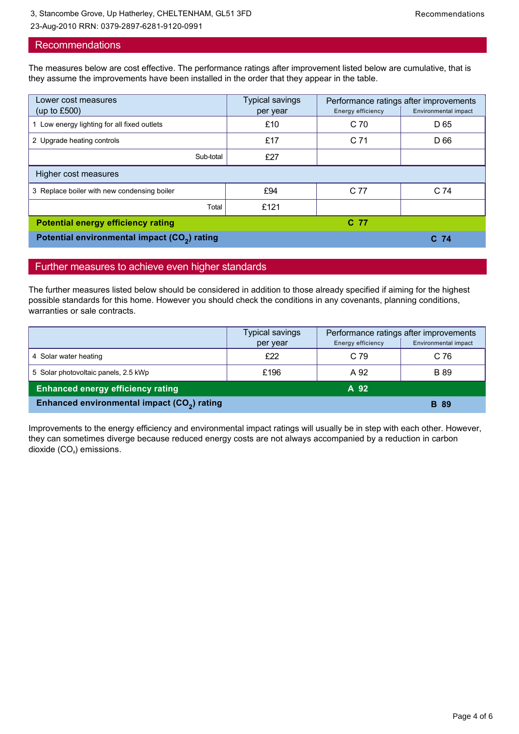## Recommendations

The measures below are cost effective. The performance ratings after improvement listed below are cumulative, that is they assume the improvements have been installed in the order that they appear in the table.

| Lower cost measures                                      | Typical savings | Performance ratings after improvements |                      |  |
|----------------------------------------------------------|-----------------|----------------------------------------|----------------------|--|
| (up to $£500$ )                                          | per year        | Energy efficiency                      | Environmental impact |  |
| 1 Low energy lighting for all fixed outlets              | £10             | C <sub>70</sub>                        | D 65                 |  |
| 2 Upgrade heating controls                               | £17             | C <sub>71</sub>                        | D 66                 |  |
| Sub-total                                                | £27             |                                        |                      |  |
| Higher cost measures                                     |                 |                                        |                      |  |
| 3 Replace boiler with new condensing boiler              | £94             | C 77                                   | C <sub>74</sub>      |  |
| Total                                                    | £121            |                                        |                      |  |
| <b>Potential energy efficiency rating</b>                |                 | C 77                                   |                      |  |
| Potential environmental impact (CO <sub>2</sub> ) rating |                 |                                        | C <sub>74</sub>      |  |

## Further measures to achieve even higher standards

The further measures listed below should be considered in addition to those already specified if aiming for the highest possible standards for this home. However you should check the conditions in any covenants, planning conditions, warranties or sale contracts.

|                                                         | Typical savings | Performance ratings after improvements |                      |
|---------------------------------------------------------|-----------------|----------------------------------------|----------------------|
|                                                         | per year        | Energy efficiency                      | Environmental impact |
| 4 Solar water heating                                   | £22             | C <sub>79</sub>                        | C 76                 |
| 5 Solar photovoltaic panels, 2.5 kWp                    | £196            | A 92                                   | <b>B</b> 89          |
| <b>Enhanced energy efficiency rating</b>                |                 | A 92                                   |                      |
| Enhanced environmental impact (CO <sub>2</sub> ) rating |                 |                                        | <b>B</b> 89          |

Improvements to the energy efficiency and environmental impact ratings will usually be in step with each other. However, they can sometimes diverge because reduced energy costs are not always accompanied by a reduction in carbon dioxide  $(CO<sub>2</sub>)$  emissions.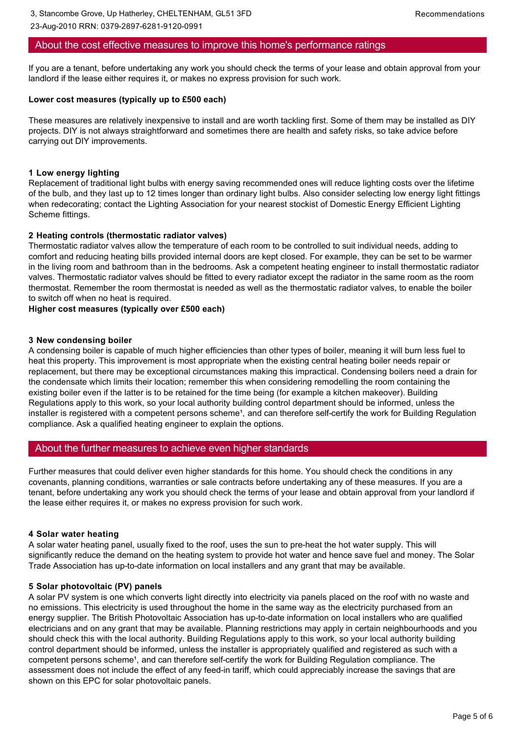### About the cost effective measures to improve this home's performance ratings

If you are a tenant, before undertaking any work you should check the terms of your lease and obtain approval from your landlord if the lease either requires it, or makes no express provision for such work.

#### **Lower cost measures (typically up to £500 each)**

23-Aug-2010 RRN: 0379-2897-6281-9120-0991

These measures are relatively inexpensive to install and are worth tackling first. Some of them may be installed as DIY projects. DIY is not always straightforward and sometimes there are health and safety risks, so take advice before carrying out DIY improvements.

#### **1 Low energy lighting**

Replacement of traditional light bulbs with energy saving recommended ones will reduce lighting costs over the lifetime of the bulb, and they last up to 12 times longer than ordinary light bulbs. Also consider selecting low energy light fittings when redecorating; contact the Lighting Association for your nearest stockist of Domestic Energy Efficient Lighting Scheme fittings.

#### **2 Heating controls (thermostatic radiator valves)**

Thermostatic radiator valves allow the temperature of each room to be controlled to suit individual needs, adding to comfort and reducing heating bills provided internal doors are kept closed. For example, they can be set to be warmer in the living room and bathroom than in the bedrooms. Ask a competent heating engineer to install thermostatic radiator valves. Thermostatic radiator valves should be fitted to every radiator except the radiator in the same room as the room thermostat. Remember the room thermostat is needed as well as the thermostatic radiator valves, to enable the boiler to switch off when no heat is required.

#### **Higher cost measures (typically over £500 each)**

#### **3 New condensing boiler**

A condensing boiler is capable of much higher efficiencies than other types of boiler, meaning it will burn less fuel to heat this property. This improvement is most appropriate when the existing central heating boiler needs repair or replacement, but there may be exceptional circumstances making this impractical. Condensing boilers need a drain for the condensate which limits their location; remember this when considering remodelling the room containing the existing boiler even if the latter is to be retained for the time being (for example a kitchen makeover). Building Regulations apply to this work, so your local authority building control department should be informed, unless the installer is registered with a competent persons scheme<sup>1</sup>, and can therefore self-certify the work for Building Regulation compliance. Ask a qualified heating engineer to explain the options.

#### About the further measures to achieve even higher standards

Further measures that could deliver even higher standards for this home. You should check the conditions in any covenants, planning conditions, warranties or sale contracts before undertaking any of these measures. If you are a tenant, before undertaking any work you should check the terms of your lease and obtain approval from your landlord if the lease either requires it, or makes no express provision for such work.

#### **4 Solar water heating**

A solar water heating panel, usually fixed to the roof, uses the sun to preheat the hot water supply. This will significantly reduce the demand on the heating system to provide hot water and hence save fuel and money. The Solar Trade Association has up-to-date information on local installers and any grant that may be available.

#### **5 Solar photovoltaic (PV) panels**

A solar PV system is one which converts light directly into electricity via panels placed on the roof with no waste and no emissions. This electricity is used throughout the home in the same way as the electricity purchased from an energy supplier. The British Photovoltaic Association has up-to-date information on local installers who are qualified electricians and on any grant that may be available. Planning restrictions may apply in certain neighbourhoods and you should check this with the local authority. Building Regulations apply to this work, so your local authority building control department should be informed, unless the installer is appropriately qualified and registered as such with a competent persons scheme<sup>1</sup>, and can therefore self-certify the work for Building Regulation compliance. The assessment does not include the effect of any feed-in tariff, which could appreciably increase the savings that are shown on this EPC for solar photovoltaic panels.